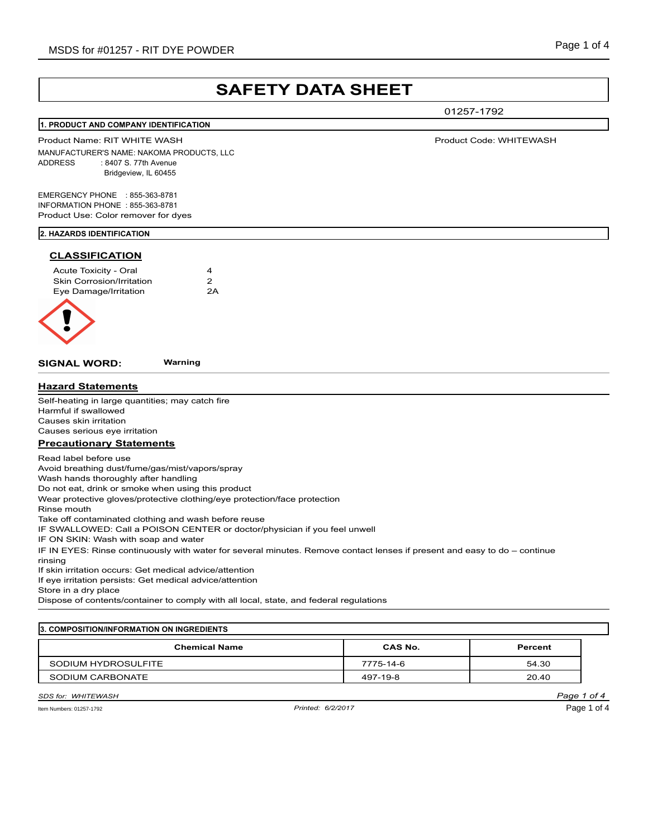## MSDS for #01257 - RIT DYE POWDER Notice that the state of 4 MSDS for #01257 - RIT DYE POWDER

# **SAFETY DATA SHEET**

01257-1792

#### **1. PRODUCT AND COMPANY IDENTIFICATION**

Product Name: RIT WHITE WASH Product Code: WHITEWASH MANUFACTURER'S NAME: NAKOMA PRODUCTS, LLC ADDRESS : 8407 S. 77th Avenue Bridgeview, IL 60455

EMERGENCY PHONE : 855-363-8781 INFORMATION PHONE : 855-363-8781 Product Use: Color remover for dyes

#### **2. HAZARDS IDENTIFICATION**

#### **CLASSIFICATION**

| Acute Toxicity - Oral            | 4  |
|----------------------------------|----|
| <b>Skin Corrosion/Irritation</b> | 2  |
| Eye Damage/Irritation            | 2A |
|                                  |    |



**SIGNAL WORD: Warning**

**Hazard Statements**

Self-heating in large quantities; may catch fire Harmful if swallowed Causes skin irritation Causes serious eye irritation

#### **Precautionary Statements**

Read label before use

Avoid breathing dust/fume/gas/mist/vapors/spray

Wash hands thoroughly after handling

Do not eat, drink or smoke when using this product

Wear protective gloves/protective clothing/eye protection/face protection

Rinse mouth

Take off contaminated clothing and wash before reuse

IF SWALLOWED: Call a POISON CENTER or doctor/physician if you feel unwell

IF ON SKIN: Wash with soap and water

IF IN EYES: Rinse continuously with water for several minutes. Remove contact lenses if present and easy to do – continue rinsing

If skin irritation occurs: Get medical advice/attention

If eye irritation persists: Get medical advice/attention

Store in a dry place

Dispose of contents/container to comply with all local, state, and federal regulations

## **3. COMPOSITION/INFORMATION ON INGREDIENTS Chemical Name CAS No. Percent**

| ------------------              | ---------     | --------- |
|---------------------------------|---------------|-----------|
| <b>I HYDROSULFITE</b><br>SODIUM | -14-6<br>775- | 54.30     |
| SODIUM CARBONATE                | 497<br>-19-8  | 20.40     |

## *SDS for: WHITEWASH Page 1 of 4*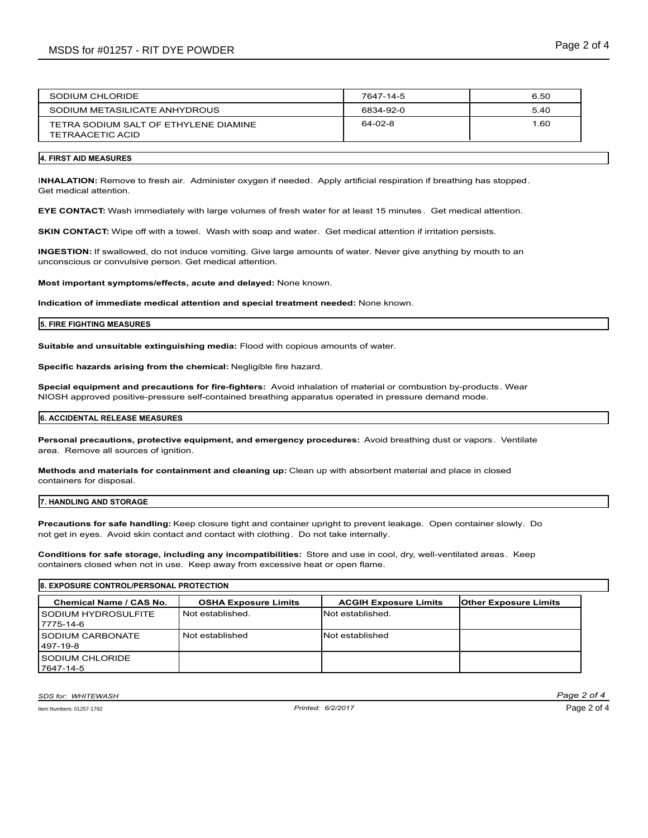| SODIUM CHLORIDE                                           | 7647-14-5 | 6.50 |
|-----------------------------------------------------------|-----------|------|
| SODIUM METASILICATE ANHYDROUS                             | 6834-92-0 | 5.40 |
| TETRA SODIUM SALT OF ETHYLENE DIAMINE<br>TETRAACETIC ACID | 64-02-8   | 1.60 |
|                                                           |           |      |

#### **4. FIRST AID MEASURES**

I**NHALATION:** Remove to fresh air. Administer oxygen if needed. Apply artificial respiration if breathing has stopped. Get medical attention.

**EYE CONTACT:** Wash immediately with large volumes of fresh water for at least 15 minutes . Get medical attention.

**SKIN CONTACT:** Wipe off with a towel. Wash with soap and water. Get medical attention if irritation persists.

**INGESTION:** If swallowed, do not induce vomiting. Give large amounts of water. Never give anything by mouth to an unconscious or convulsive person. Get medical attention.

**Most important symptoms/effects, acute and delayed:** None known.

**Indication of immediate medical attention and special treatment needed:** None known.

#### **5. FIRE FIGHTING MEASURES**

**Suitable and unsuitable extinguishing media:** Flood with copious amounts of water.

**Specific hazards arising from the chemical:** Negligible fire hazard.

**Special equipment and precautions for fire-fighters:** Avoid inhalation of material or combustion by-products. Wear NIOSH approved positive-pressure self-contained breathing apparatus operated in pressure demand mode.

#### **6. ACCIDENTAL RELEASE MEASURES**

**Personal precautions, protective equipment, and emergency procedures:** Avoid breathing dust or vapors. Ventilate area. Remove all sources of ignition.

**Methods and materials for containment and cleaning up:** Clean up with absorbent material and place in closed containers for disposal.

#### **7. HANDLING AND STORAGE**

**Precautions for safe handling:** Keep closure tight and container upright to prevent leakage. Open container slowly. Do not get in eyes. Avoid skin contact and contact with clothing. Do not take internally.

**Conditions for safe storage, including any incompatibilities:** Store and use in cool, dry, well-ventilated areas. Keep containers closed when not in use. Keep away from excessive heat or open flame.

| <b>8. EXPOSURE CONTROL/PERSONAL PROTECTION</b> |                             |                              |                              |
|------------------------------------------------|-----------------------------|------------------------------|------------------------------|
| Chemical Name / CAS No.                        | <b>OSHA Exposure Limits</b> | <b>ACGIH Exposure Limits</b> | <b>Other Exposure Limits</b> |
| <b>ISODIUM HYDROSULFITE</b><br>17775-14-6      | Not established.            | Not established.             |                              |
| <b>ISODIUM CARBONATE</b><br>1497-19-8          | Not established             | Not established              |                              |
| <b>ISODIUM CHLORIDE</b><br>7647-14-5           |                             |                              |                              |

*SDS for: WHITEWASH Page 2 of 4*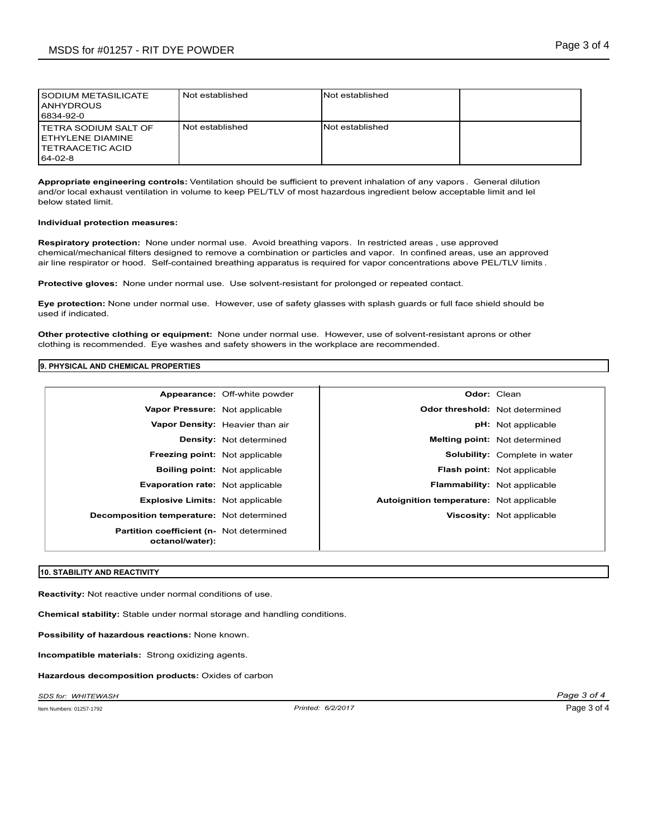| I SODIUM METASILICATE<br><b>IANHYDROUS</b><br>6834-92-0                                              | Not established | <b>Not established</b>  |  |
|------------------------------------------------------------------------------------------------------|-----------------|-------------------------|--|
| <b>I TETRA SODIUM SALT OF</b><br><b>I ETHYLENE DIAMINE</b><br><b>I TETRAACETIC ACID</b><br>$64-02-8$ | Not established | <b>INot established</b> |  |

**Appropriate engineering controls:** Ventilation should be sufficient to prevent inhalation of any vapors . General dilution and/or local exhaust ventilation in volume to keep PEL/TLV of most hazardous ingredient below acceptable limit and lel below stated limit.

#### **Individual protection measures:**

**Respiratory protection:** None under normal use. Avoid breathing vapors. In restricted areas , use approved chemical/mechanical filters designed to remove a combination or particles and vapor. In confined areas, use an approved air line respirator or hood. Self-contained breathing apparatus is required for vapor concentrations above PEL/TLV limits .

**Protective gloves:** None under normal use. Use solvent-resistant for prolonged or repeated contact.

**Eye protection:** None under normal use. However, use of safety glasses with splash guards or full face shield should be used if indicated.

**Other protective clothing or equipment:** None under normal use. However, use of solvent-resistant aprons or other clothing is recommended. Eye washes and safety showers in the workplace are recommended.

## **9. PHYSICAL AND CHEMICAL PROPERTIES**

|                                                                     | Appearance: Off-white powder         |                                          | <b>Odor: Clean</b>                   |
|---------------------------------------------------------------------|--------------------------------------|------------------------------------------|--------------------------------------|
| Vapor Pressure: Not applicable                                      |                                      | <b>Odor threshold:</b> Not determined    |                                      |
|                                                                     | Vapor Density: Heavier than air      |                                          | <b>pH:</b> Not applicable            |
|                                                                     | <b>Density:</b> Not determined       |                                          | <b>Melting point:</b> Not determined |
| Freezing point: Not applicable                                      |                                      |                                          | Solubility: Complete in water        |
|                                                                     | <b>Boiling point:</b> Not applicable |                                          | <b>Flash point:</b> Not applicable   |
| Evaporation rate: Not applicable                                    |                                      |                                          | <b>Flammability:</b> Not applicable  |
| <b>Explosive Limits: Not applicable</b>                             |                                      | Autoignition temperature: Not applicable |                                      |
| Decomposition temperature: Not determined                           |                                      |                                          | Viscosity: Not applicable            |
| <b>Partition coefficient (n- Not determined)</b><br>octanol/water): |                                      |                                          |                                      |

#### **10. STABILITY AND REACTIVITY**

**Reactivity:** Not reactive under normal conditions of use.

**Chemical stability:** Stable under normal storage and handling conditions.

**Possibility of hazardous reactions:** None known.

**Incompatible materials:** Strong oxidizing agents.

**Hazardous decomposition products:** Oxides of carbon

*SDS for: WHITEWASH Page 3 of 4*

Item Numbers: 01257-1792 *Printed: 6/2/2017*